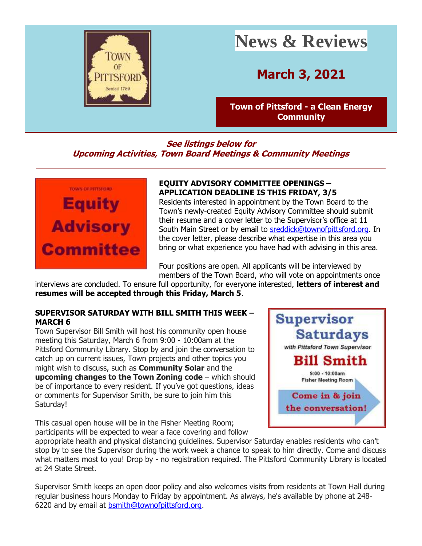

# **News & Reviews**

## **March 3, 2021**

**[Town of Pittsford -](http://r20.rs6.net/tn.jsp?f=001II1FNdzkItUrS2OOIj8UEToBaQoxHvJoZJ5AJXL0KWrI7t2-RCjnXKg8vC69-VXbOt5ehLxvKl7k1Um-La2-A18nqU-E9YCifSostTlqxrmNqSZLNFG1xgOEqlMiH5Tup5BtkR0L0099hql23lkuWgYx_iehRfex&c=44nJltt8DQHtJH5pXG7U5ncI6B3qc9Ed_oXkk-bCtAU2GDdlmzGjwA==&ch=6m_GcSrMg34EWpVSFYgbl-HAIMWNVXqLAUkoScOpJbDgrA_O-jvdkw==) a Clean Energy [Community](http://r20.rs6.net/tn.jsp?f=001II1FNdzkItUrS2OOIj8UEToBaQoxHvJoZJ5AJXL0KWrI7t2-RCjnXKg8vC69-VXbOt5ehLxvKl7k1Um-La2-A18nqU-E9YCifSostTlqxrmNqSZLNFG1xgOEqlMiH5Tup5BtkR0L0099hql23lkuWgYx_iehRfex&c=44nJltt8DQHtJH5pXG7U5ncI6B3qc9Ed_oXkk-bCtAU2GDdlmzGjwA==&ch=6m_GcSrMg34EWpVSFYgbl-HAIMWNVXqLAUkoScOpJbDgrA_O-jvdkw==)**

#### **See listings below for Upcoming Activities, Town Board Meetings & Community Meetings**



#### **EQUITY ADVISORY COMMITTEE OPENINGS – APPLICATION DEADLINE IS THIS FRIDAY, 3/5**

Residents interested in appointment by the Town Board to the Town's newly-created Equity Advisory Committee should submit their resume and a cover letter to the Supervisor's office at 11 South Main Street or by email to [sreddick@townofpittsford.org.](mailto:sreddick@townofpittsford.org?subject=Equity%20Advisory%20Committee%20application) In the cover letter, please describe what expertise in this area you bring or what experience you have had with advising in this area.

Four positions are open. All applicants will be interviewed by members of the Town Board, who will vote on appointments once

interviews are concluded. To ensure full opportunity, for everyone interested, **letters of interest and resumes will be accepted through this Friday, March 5**.

#### **SUPERVISOR SATURDAY WITH BILL SMITH THIS WEEK – MARCH 6**

Town Supervisor Bill Smith will host his community open house meeting this Saturday, March 6 from 9:00 - 10:00am at the Pittsford Community Library. Stop by and join the conversation to catch up on current issues, Town projects and other topics you might wish to discuss, such as **Community Solar** and the **upcoming changes to the Town Zoning code** – which should be of importance to every resident. If you've got questions, ideas or comments for Supervisor Smith, be sure to join him this Saturday!

This casual open house will be in the Fisher Meeting Room; participants will be expected to wear a face covering and follow



appropriate health and physical distancing guidelines. Supervisor Saturday enables residents who can't stop by to see the Supervisor during the work week a chance to speak to him directly. Come and discuss what matters most to you! Drop by - no registration required. The Pittsford Community Library is located at 24 State Street.

Supervisor Smith keeps an open door policy and also welcomes visits from residents at Town Hall during regular business hours Monday to Friday by appointment. As always, he's available by phone at 248- 6220 and by email at [bsmith@townofpittsford.org.](mailto:bsmith@townofpittsford.org)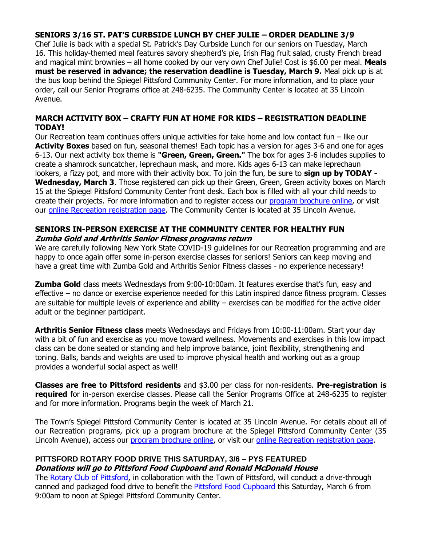#### **SENIORS 3/16 ST. PAT'S CURBSIDE LUNCH BY CHEF JULIE – ORDER DEADLINE 3/9**

Chef Julie is back with a special St. Patrick's Day Curbside Lunch for our seniors on Tuesday, March 16. This holiday-themed meal features savory shepherd's pie, Irish Flag fruit salad, crusty French bread and magical mint brownies – all home cooked by our very own Chef Julie! Cost is \$6.00 per meal. **Meals must be reserved in advance; the reservation deadline is Tuesday, March 9.** Meal pick up is at the bus loop behind the Spiegel Pittsford Community Center. For more information, and to place your order, call our Senior Programs office at 248-6235. The Community Center is located at 35 Lincoln Avenue.

#### **MARCH ACTIVITY BOX – CRAFTY FUN AT HOME FOR KIDS – REGISTRATION DEADLINE TODAY!**

Our Recreation team continues offers unique activities for take home and low contact fun – like our **Activity Boxes** based on fun, seasonal themes! Each topic has a version for ages 3-6 and one for ages 6-13. Our next activity box theme is **"Green, Green, Green."** The box for ages 3-6 includes supplies to create a shamrock suncatcher, leprechaun mask, and more. Kids ages 6-13 can make leprechaun lookers, a fizzy pot, and more with their activity box. To join the fun, be sure to **sign up by TODAY - Wednesday, March 3**. Those registered can pick up their Green, Green, Green activity boxes on March 15 at the Spiegel Pittsford Community Center front desk. Each box is filled with all your child needs to create their projects. For more information and to register access our [program brochure online,](http://r20.rs6.net/tn.jsp?f=001II1FNdzkItUrS2OOIj8UEToBaQoxHvJoZJ5AJXL0KWrI7t2-RCjnXOfY2iNL4YJs1WCsGiYPO4kXiugaHTh5yaJYOCLGdpwZzKKvZy0CNggTMluvUKf9cXKh_jMRF3RFq96ZTWURa1UXq0rRuoDFGjMqn71uoBW5ActQpmraajM-3SKBvenuSlRCHrNrZ9-LoK0MElQV_bM=&c=44nJltt8DQHtJH5pXG7U5ncI6B3qc9Ed_oXkk-bCtAU2GDdlmzGjwA==&ch=6m_GcSrMg34EWpVSFYgbl-HAIMWNVXqLAUkoScOpJbDgrA_O-jvdkw==) or visit our [online Recreation registration page.](http://r20.rs6.net/tn.jsp?f=001II1FNdzkItUrS2OOIj8UEToBaQoxHvJoZJ5AJXL0KWrI7t2-RCjnXOQnUaYRUp3s-3dOp01CdtZKODtYwQDWymFtKZgIguBVfeW8sMCNya_DySZdQgkGI19leXBfsYc1GAsrhtGkVZWtaXDJZNxkVY3RBB0q77ykC4qyAciJFuErfze5v7X8HMAlNL1CzlSoN9l4R5MFySTBB86TTeDbrLmpOGFhQk6Bs8iOwGWmTZzlraWnOfPqKXrkL5SBvqtf7nFVX9NbvibeBNVDbKjrGBr175hN3I0oHoLFg8ZBu_0gYmym2K4GIQ52MdK1hIt501FPvgAP1-tosDNJPZ_6tntAjuYLd08w3XR0E565v3g=&c=44nJltt8DQHtJH5pXG7U5ncI6B3qc9Ed_oXkk-bCtAU2GDdlmzGjwA==&ch=6m_GcSrMg34EWpVSFYgbl-HAIMWNVXqLAUkoScOpJbDgrA_O-jvdkw==) The Community Center is located at 35 Lincoln Avenue.

#### **SENIORS IN-PERSON EXERCISE AT THE COMMUNITY CENTER FOR HEALTHY FUN Zumba Gold and Arthritis Senior Fitness programs return**

We are carefully following New York State COVID-19 guidelines for our Recreation programming and are happy to once again offer some in-person exercise classes for seniors! Seniors can keep moving and have a great time with Zumba Gold and Arthritis Senior Fitness classes - no experience necessary!

**Zumba Gold** class meets Wednesdays from 9:00-10:00am. It features exercise that's fun, easy and effective – no dance or exercise experience needed for this Latin inspired dance fitness program. Classes are suitable for multiple levels of experience and ability – exercises can be modified for the active older adult or the beginner participant.

**Arthritis Senior Fitness class** meets Wednesdays and Fridays from 10:00-11:00am. Start your day with a bit of fun and exercise as you move toward wellness. Movements and exercises in this low impact class can be done seated or standing and help improve balance, joint flexibility, strengthening and toning. Balls, bands and weights are used to improve physical health and working out as a group provides a wonderful social aspect as well!

**Classes are free to Pittsford residents** and \$3.00 per class for non-residents. **Pre-registration is required** for in-person exercise classes. Please call the Senior Programs Office at 248-6235 to register and for more information. Programs begin the week of March 21.

The Town's Spiegel Pittsford Community Center is located at 35 Lincoln Avenue. For details about all of our Recreation programs, pick up a program brochure at the Spiegel Pittsford Community Center (35 Lincoln Avenue), access our [program brochure online,](http://r20.rs6.net/tn.jsp?f=001II1FNdzkItUrS2OOIj8UEToBaQoxHvJoZJ5AJXL0KWrI7t2-RCjnXOfY2iNL4YJs1WCsGiYPO4kXiugaHTh5yaJYOCLGdpwZzKKvZy0CNggTMluvUKf9cXKh_jMRF3RFq96ZTWURa1UXq0rRuoDFGjMqn71uoBW5ActQpmraajM-3SKBvenuSlRCHrNrZ9-LoK0MElQV_bM=&c=44nJltt8DQHtJH5pXG7U5ncI6B3qc9Ed_oXkk-bCtAU2GDdlmzGjwA==&ch=6m_GcSrMg34EWpVSFYgbl-HAIMWNVXqLAUkoScOpJbDgrA_O-jvdkw==) or visit our [online Recreation registration page.](http://r20.rs6.net/tn.jsp?f=001II1FNdzkItUrS2OOIj8UEToBaQoxHvJoZJ5AJXL0KWrI7t2-RCjnXKxoDxGnlgnNRbNCx4Kyr8-Bx-5IHvkL9IB-diqlVIvaT_LjQls5Hh50ncmb1ErdjJTByqR95B9AIq4JlYiamxp76Vrf1XtCSOCdn6R6nuzGfcYDr7CGk9RkgxuyUc8KDxgrjvbvJ0RNdBee-hsp97GCLOLd8RdLvA==&c=44nJltt8DQHtJH5pXG7U5ncI6B3qc9Ed_oXkk-bCtAU2GDdlmzGjwA==&ch=6m_GcSrMg34EWpVSFYgbl-HAIMWNVXqLAUkoScOpJbDgrA_O-jvdkw==)

#### **PITTSFORD ROTARY FOOD DRIVE THIS SATURDAY, 3/6 – PYS FEATURED Donations will go to Pittsford Food Cupboard and Ronald McDonald House**

The [Rotary Club of Pittsford,](http://r20.rs6.net/tn.jsp?f=001II1FNdzkItUrS2OOIj8UEToBaQoxHvJoZJ5AJXL0KWrI7t2-RCjnXKxoDxGnlgnNZy0KXYVF0aNGelXWgdaVUAKUUyDYdgooQcbI4dZhqESfMLVNmvcUO0jDCn0Gk7vx-LCDkaftJ1Av7LkRVdasPhjzB3GaDnzj&c=44nJltt8DQHtJH5pXG7U5ncI6B3qc9Ed_oXkk-bCtAU2GDdlmzGjwA==&ch=6m_GcSrMg34EWpVSFYgbl-HAIMWNVXqLAUkoScOpJbDgrA_O-jvdkw==) in collaboration with the Town of Pittsford, will conduct a drive-through canned and packaged food drive to benefit the [Pittsford Food Cupboard](http://r20.rs6.net/tn.jsp?f=001II1FNdzkItUrS2OOIj8UEToBaQoxHvJoZJ5AJXL0KWrI7t2-RCjnXF5sdssc0i8R5gQAW8PJrvFl7IZFJ5N8qiVI4htwHcjeGX4dBBMvyOROBUpPVRd8p4d1CaHShaG30pg_XgmWr6pA75yAphY04yvgpRIbOrQI&c=44nJltt8DQHtJH5pXG7U5ncI6B3qc9Ed_oXkk-bCtAU2GDdlmzGjwA==&ch=6m_GcSrMg34EWpVSFYgbl-HAIMWNVXqLAUkoScOpJbDgrA_O-jvdkw==) this Saturday, March 6 from 9:00am to noon at Spiegel Pittsford Community Center.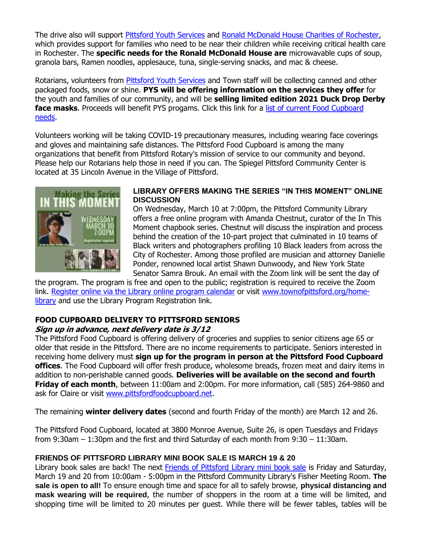The drive also will support [Pittsford Youth Services](http://r20.rs6.net/tn.jsp?f=001II1FNdzkItUrS2OOIj8UEToBaQoxHvJoZJ5AJXL0KWrI7t2-RCjnXJ41wAEa_0-yVnjsRoXjD4R0jXX0Sq5w8Y-cMlCNZc7FSv2HLZVFCm8MOaHRvZ4LMPLtr09Ejuw3qNdPzDujWD0eiM88nK5ZbTztdUYAnYI_19yxAmpPuXE=&c=44nJltt8DQHtJH5pXG7U5ncI6B3qc9Ed_oXkk-bCtAU2GDdlmzGjwA==&ch=6m_GcSrMg34EWpVSFYgbl-HAIMWNVXqLAUkoScOpJbDgrA_O-jvdkw==) and [Ronald McDonald House Charities of Rochester,](http://r20.rs6.net/tn.jsp?f=001II1FNdzkItUrS2OOIj8UEToBaQoxHvJoZJ5AJXL0KWrI7t2-RCjnXKBzT4mFxkrGY35pevp9khfgSSqVkIGaMIbAKGBIPir0GmsO4wcZvSJdrnO7PFHUPLEYfVeh4lb4x86o98fTG-BKUDmk0WhaKA==&c=44nJltt8DQHtJH5pXG7U5ncI6B3qc9Ed_oXkk-bCtAU2GDdlmzGjwA==&ch=6m_GcSrMg34EWpVSFYgbl-HAIMWNVXqLAUkoScOpJbDgrA_O-jvdkw==) which provides support for families who need to be near their children while receiving critical health care in Rochester. The **specific needs for the Ronald McDonald House are** microwavable cups of soup, granola bars, Ramen noodles, applesauce, tuna, single-serving snacks, and mac & cheese.

Rotarians, volunteers from [Pittsford Youth Services](http://r20.rs6.net/tn.jsp?f=001II1FNdzkItUrS2OOIj8UEToBaQoxHvJoZJ5AJXL0KWrI7t2-RCjnXJ41wAEa_0-yVnjsRoXjD4R0jXX0Sq5w8Y-cMlCNZc7FSv2HLZVFCm8MOaHRvZ4LMPLtr09Ejuw3qNdPzDujWD0eiM88nK5ZbTztdUYAnYI_19yxAmpPuXE=&c=44nJltt8DQHtJH5pXG7U5ncI6B3qc9Ed_oXkk-bCtAU2GDdlmzGjwA==&ch=6m_GcSrMg34EWpVSFYgbl-HAIMWNVXqLAUkoScOpJbDgrA_O-jvdkw==) and Town staff will be collecting canned and other packaged foods, snow or shine. **PYS will be offering information on the services they offer** for the youth and families of our community, and will be **selling limited edition 2021 Duck Drop Derby**  face masks. Proceeds will benefit PYS progams. Click this link for a list of current Food Cupboard [needs.](http://r20.rs6.net/tn.jsp?f=001II1FNdzkItUrS2OOIj8UEToBaQoxHvJoZJ5AJXL0KWrI7t2-RCjnXKt3Hs0iIFiFDh-Ti9O0EWIvhs2nbiWfeiPZnuQRIbrPM_9IhQg7ZWNw4OjlmotAxqHGDKPl2g44A8KWUCEjpFrE7KHcYAEsSxaS_2JROMRaXWXETZd9jp6-8-cKkNDK14AVCbiZ3rOm&c=44nJltt8DQHtJH5pXG7U5ncI6B3qc9Ed_oXkk-bCtAU2GDdlmzGjwA==&ch=6m_GcSrMg34EWpVSFYgbl-HAIMWNVXqLAUkoScOpJbDgrA_O-jvdkw==)

Volunteers working will be taking COVID-19 precautionary measures, including wearing face coverings and gloves and maintaining safe distances. The Pittsford Food Cupboard is among the many organizations that benefit from Pittsford Rotary's mission of service to our community and beyond. Please help our Rotarians help those in need if you can. The Spiegel Pittsford Community Center is located at 35 Lincoln Avenue in the Village of Pittsford.



#### **LIBRARY OFFERS MAKING THE SERIES "IN THIS MOMENT" ONLINE DISCUSSION**

On Wednesday, March 10 at 7:00pm, the Pittsford Community Library offers a free online program with Amanda Chestnut, curator of the In This Moment chapbook series. Chestnut will discuss the inspiration and process behind the creation of the 10-part project that culminated in 10 teams of Black writers and photographers profiling 10 Black leaders from across the City of Rochester. Among those profiled are musician and attorney Danielle Ponder, renowned local artist Shawn Dunwoody, and New York State Senator Samra Brouk. An email with the Zoom link will be sent the day of

the program. The program is free and open to the public; registration is required to receive the Zoom link. [Register online via the Library online program calendar](http://r20.rs6.net/tn.jsp?f=001II1FNdzkItUrS2OOIj8UEToBaQoxHvJoZJ5AJXL0KWrI7t2-RCjnXMzId8gEKYAcSOyuDLIoSzsaXzBmw1knFzjZDUhyoS2fgx6ytEfSW_m4bkAY5bdMYVTbv6YPKcCj2w9sbipnwNy_0dN4YsZSZ2sEqORyoUAhBq4IH4ZmhYygwH8IklNdWw==&c=44nJltt8DQHtJH5pXG7U5ncI6B3qc9Ed_oXkk-bCtAU2GDdlmzGjwA==&ch=6m_GcSrMg34EWpVSFYgbl-HAIMWNVXqLAUkoScOpJbDgrA_O-jvdkw==) or visit [www.townofpittsford.org/home](http://r20.rs6.net/tn.jsp?f=001II1FNdzkItUrS2OOIj8UEToBaQoxHvJoZJ5AJXL0KWrI7t2-RCjnXOvA2Dvieo_qI2DlAZwYBCTJHnwHruXavc4EMWPTr4VgWSyWudIoDnhr8SRrHs-1U7c-0-hCbnKReS7wVcQwv62OCR52KHkMa43eaMiM5ws9EtiWdjNf4Mw=&c=44nJltt8DQHtJH5pXG7U5ncI6B3qc9Ed_oXkk-bCtAU2GDdlmzGjwA==&ch=6m_GcSrMg34EWpVSFYgbl-HAIMWNVXqLAUkoScOpJbDgrA_O-jvdkw==)[library](http://r20.rs6.net/tn.jsp?f=001II1FNdzkItUrS2OOIj8UEToBaQoxHvJoZJ5AJXL0KWrI7t2-RCjnXOvA2Dvieo_qI2DlAZwYBCTJHnwHruXavc4EMWPTr4VgWSyWudIoDnhr8SRrHs-1U7c-0-hCbnKReS7wVcQwv62OCR52KHkMa43eaMiM5ws9EtiWdjNf4Mw=&c=44nJltt8DQHtJH5pXG7U5ncI6B3qc9Ed_oXkk-bCtAU2GDdlmzGjwA==&ch=6m_GcSrMg34EWpVSFYgbl-HAIMWNVXqLAUkoScOpJbDgrA_O-jvdkw==) and use the Library Program Registration link.

#### **FOOD CUPBOARD DELIVERY TO PITTSFORD SENIORS**

#### **Sign up in advance, next delivery date is 3/12**

The Pittsford Food Cupboard is offering delivery of groceries and supplies to senior citizens age 65 or older that reside in the Pittsford. There are no income requirements to participate. Seniors interested in receiving home delivery must **sign up for the program in person at the Pittsford Food Cupboard offices**. The Food Cupboard will offer fresh produce, wholesome breads, frozen meat and dairy items in addition to non-perishable canned goods. **Deliveries will be available on the second and fourth Friday of each month**, between 11:00am and 2:00pm. For more information, call (585) 264-9860 and ask for Claire or visit [www.pittsfordfoodcupboard.net.](http://r20.rs6.net/tn.jsp?f=001II1FNdzkItUrS2OOIj8UEToBaQoxHvJoZJ5AJXL0KWrI7t2-RCjnXF5sdssc0i8R5gQAW8PJrvFl7IZFJ5N8qiVI4htwHcjeGX4dBBMvyOROBUpPVRd8p4d1CaHShaG30pg_XgmWr6pA75yAphY04yvgpRIbOrQI&c=44nJltt8DQHtJH5pXG7U5ncI6B3qc9Ed_oXkk-bCtAU2GDdlmzGjwA==&ch=6m_GcSrMg34EWpVSFYgbl-HAIMWNVXqLAUkoScOpJbDgrA_O-jvdkw==)

The remaining **winter delivery dates** (second and fourth Friday of the month) are March 12 and 26.

The Pittsford Food Cupboard, located at 3800 Monroe Avenue, Suite 26, is open Tuesdays and Fridays from 9:30am – 1:30pm and the first and third Saturday of each month from 9:30 – 11:30am.

#### **FRIENDS OF PITTSFORD LIBRARY MINI BOOK SALE IS MARCH 19 & 20**

Library book sales are back! The next [Friends of Pittsford Library mini book sale](http://r20.rs6.net/tn.jsp?f=001II1FNdzkItUrS2OOIj8UEToBaQoxHvJoZJ5AJXL0KWrI7t2-RCjnXF5sdssc0i8RLdFj4TnnyxyCAsgEgLGWUId6mSiH49NFgUoH_3vShPLn3S5i7M_gMpah6OOl_evxxA53ZKi9Z3-hKzI-TnHQLKYE7FkXIRDG&c=44nJltt8DQHtJH5pXG7U5ncI6B3qc9Ed_oXkk-bCtAU2GDdlmzGjwA==&ch=6m_GcSrMg34EWpVSFYgbl-HAIMWNVXqLAUkoScOpJbDgrA_O-jvdkw==) is Friday and Saturday, March 19 and 20 from 10:00am - 5:00pm in the Pittsford Community Library's Fisher Meeting Room. **The sale is open to all!** To ensure enough time and space for all to safely browse, **physical distancing and mask wearing will be required**, the number of shoppers in the room at a time will be limited, and shopping time will be limited to 20 minutes per guest. While there will be fewer tables, tables will be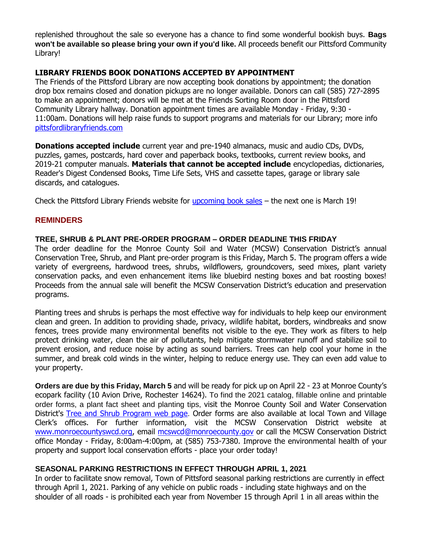replenished throughout the sale so everyone has a chance to find some wonderful bookish buys. **Bags won't be available so please bring your own if you'd like.** All proceeds benefit our Pittsford Community Library!

#### **LIBRARY FRIENDS BOOK DONATIONS ACCEPTED BY APPOINTMENT**

The Friends of the Pittsford Library are now accepting book donations by appointment; the donation drop box remains closed and donation pickups are no longer available. Donors can call (585) 727-2895 to make an appointment; donors will be met at the Friends Sorting Room door in the Pittsford Community Library hallway. Donation appointment times are available Monday - Friday, 9:30 - 11:00am. Donations will help raise funds to support programs and materials for our Library; more info pittsfordlibraryfriends.com

**Donations accepted include** current year and pre-1940 almanacs, music and audio CDs, DVDs, puzzles, games, postcards, hard cover and paperback books, textbooks, current review books, and 2019-21 computer manuals. **Materials that cannot be accepted include** encyclopedias, dictionaries, Reader's Digest Condensed Books, Time Life Sets, VHS and cassette tapes, garage or library sale discards, and catalogues.

Check the Pittsford Library Friends website for *upcoming book sales* - the next one is March 19!

#### **REMINDERS**

#### **TREE, SHRUB & PLANT PRE-ORDER PROGRAM – ORDER DEADLINE THIS FRIDAY**

The order deadline for the Monroe County Soil and Water (MCSW) Conservation District's annual Conservation Tree, Shrub, and Plant pre-order program is this Friday, March 5. The program offers a wide variety of evergreens, hardwood trees, shrubs, wildflowers, groundcovers, seed mixes, plant variety conservation packs, and even enhancement items like bluebird nesting boxes and bat roosting boxes! Proceeds from the annual sale will benefit the MCSW Conservation District's education and preservation programs.

Planting trees and shrubs is perhaps the most effective way for individuals to help keep our environment clean and green. In addition to providing shade, privacy, wildlife habitat, borders, windbreaks and snow fences, trees provide many environmental benefits not visible to the eye. They work as filters to help protect drinking water, clean the air of pollutants, help mitigate stormwater runoff and stabilize soil to prevent erosion, and reduce noise by acting as sound barriers. Trees can help cool your home in the summer, and break cold winds in the winter, helping to reduce energy use. They can even add value to your property.

**Orders are due by this Friday, March 5** and will be ready for pick up on April 22 - 23 at Monroe County's ecopark facility (10 Avion Drive, Rochester 14624). To find the 2021 catalog, fillable online and printable order forms, a plant fact sheet and planting tips, visit the Monroe County Soil and Water Conservation District's [Tree and Shrub Program web page](http://r20.rs6.net/tn.jsp?f=001II1FNdzkItUrS2OOIj8UEToBaQoxHvJoZJ5AJXL0KWrI7t2-RCjnXPGObDBFEyIYuK4ZwXklxzyEoOR_Mlk96HB0SxZANjl_Lp5wutbuv7ZByfmlPBokMcCrfzH4SmfVDj7w6tlDN3adCMZZqng5PE3nFSh8TuokXybiSyrt5hY=&c=44nJltt8DQHtJH5pXG7U5ncI6B3qc9Ed_oXkk-bCtAU2GDdlmzGjwA==&ch=6m_GcSrMg34EWpVSFYgbl-HAIMWNVXqLAUkoScOpJbDgrA_O-jvdkw==). Order forms are also available at local Town and Village Clerk's offices. For further information, visit the MCSW Conservation District website at [www.monroecountyswcd.org,](http://r20.rs6.net/tn.jsp?f=001II1FNdzkItUrS2OOIj8UEToBaQoxHvJoZJ5AJXL0KWrI7t2-RCjnXGh8ZhGeFtwhPa_laf3tzXa15NfBrjrufas8F1uphg18R5lEqsZsAb6jVqWbveSkDC2dEaqiRndt9wGUGy-GyYDPsdyk011-vdl4en-WC7q_&c=44nJltt8DQHtJH5pXG7U5ncI6B3qc9Ed_oXkk-bCtAU2GDdlmzGjwA==&ch=6m_GcSrMg34EWpVSFYgbl-HAIMWNVXqLAUkoScOpJbDgrA_O-jvdkw==) email [mcswcd@monroecounty.gov](mailto:mcswcd@monroecounty.gov) or call the MCSW Conservation District office Monday - Friday, 8:00am-4:00pm, at (585) 753-7380. Improve the environmental health of your property and support local conservation efforts - place your order today!

#### **SEASONAL PARKING RESTRICTIONS IN EFFECT THROUGH APRIL 1, 2021**

In order to facilitate snow removal, Town of Pittsford seasonal parking restrictions are currently in effect through April 1, 2021. Parking of any vehicle on public roads - including state highways and on the shoulder of all roads - is prohibited each year from November 15 through April 1 in all areas within the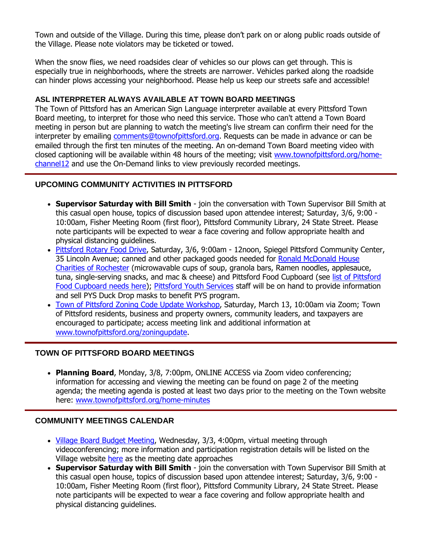Town and outside of the Village. During this time, please don't park on or along public roads outside of the Village. Please note violators may be ticketed or towed.

When the snow flies, we need roadsides clear of vehicles so our plows can get through. This is especially true in neighborhoods, where the streets are narrower. Vehicles parked along the roadside can hinder plows accessing your neighborhood. Please help us keep our streets safe and accessible!

#### **ASL INTERPRETER ALWAYS AVAILABLE AT TOWN BOARD MEETINGS**

The Town of Pittsford has an American Sign Language interpreter available at every Pittsford Town Board meeting, to interpret for those who need this service. Those who can't attend a Town Board meeting in person but are planning to watch the meeting's live stream can confirm their need for the interpreter by emailing [comments@townofpittsford.org.](mailto:comments@townofpittsford.org?subject=ASL%20interperter%20request%20for%20Town%20Board%20meeting) Requests can be made in advance or can be emailed through the first ten minutes of the meeting. An on-demand Town Board meeting video with closed captioning will be available within 48 hours of the meeting; visit [www.townofpittsford.org/home](http://r20.rs6.net/tn.jsp?f=001II1FNdzkItUrS2OOIj8UEToBaQoxHvJoZJ5AJXL0KWrI7t2-RCjnXLKDG8ihdBg3qbvZX2vk8Jy6HMr7gx3hyiCQpd9YEKTiw-APblTMfEA30ulCewukL2jrfkXYF25PkFNprsraJhVU96nF2VdiM4ZPRyDWe06UKxR3nYcl3w8=&c=44nJltt8DQHtJH5pXG7U5ncI6B3qc9Ed_oXkk-bCtAU2GDdlmzGjwA==&ch=6m_GcSrMg34EWpVSFYgbl-HAIMWNVXqLAUkoScOpJbDgrA_O-jvdkw==)[channel12](http://r20.rs6.net/tn.jsp?f=001II1FNdzkItUrS2OOIj8UEToBaQoxHvJoZJ5AJXL0KWrI7t2-RCjnXLKDG8ihdBg3qbvZX2vk8Jy6HMr7gx3hyiCQpd9YEKTiw-APblTMfEA30ulCewukL2jrfkXYF25PkFNprsraJhVU96nF2VdiM4ZPRyDWe06UKxR3nYcl3w8=&c=44nJltt8DQHtJH5pXG7U5ncI6B3qc9Ed_oXkk-bCtAU2GDdlmzGjwA==&ch=6m_GcSrMg34EWpVSFYgbl-HAIMWNVXqLAUkoScOpJbDgrA_O-jvdkw==) and use the On-Demand links to view previously recorded meetings.

#### **UPCOMING COMMUNITY ACTIVITIES IN PITTSFORD**

- **Supervisor Saturday with Bill Smith** join the conversation with Town Supervisor Bill Smith at this casual open house, topics of discussion based upon attendee interest; Saturday, 3/6, 9:00 - 10:00am, Fisher Meeting Room (first floor), Pittsford Community Library, 24 State Street. Please note participants will be expected to wear a face covering and follow appropriate health and physical distancing guidelines.
- [Pittsford Rotary Food Drive,](http://r20.rs6.net/tn.jsp?f=001II1FNdzkItUrS2OOIj8UEToBaQoxHvJoZJ5AJXL0KWrI7t2-RCjnXPGObDBFEyIYuEmjZq94aJ6Wfb1iGHo1woPsOvmAzETj7vchg3kKBCkkVdIjJN9CpPRbOwehegHZT0Zgeq14CA7Y758hERUotnGU1dbWzLND&c=44nJltt8DQHtJH5pXG7U5ncI6B3qc9Ed_oXkk-bCtAU2GDdlmzGjwA==&ch=6m_GcSrMg34EWpVSFYgbl-HAIMWNVXqLAUkoScOpJbDgrA_O-jvdkw==) Saturday, 3/6, 9:00am 12noon, Spiegel Pittsford Community Center, 35 Lincoln Avenue; canned and other packaged goods needed for Ronald McDonald House [Charities of Rochester](http://r20.rs6.net/tn.jsp?f=001II1FNdzkItUrS2OOIj8UEToBaQoxHvJoZJ5AJXL0KWrI7t2-RCjnXKBzT4mFxkrGY35pevp9khfgSSqVkIGaMIbAKGBIPir0GmsO4wcZvSJdrnO7PFHUPLEYfVeh4lb4x86o98fTG-BKUDmk0WhaKA==&c=44nJltt8DQHtJH5pXG7U5ncI6B3qc9Ed_oXkk-bCtAU2GDdlmzGjwA==&ch=6m_GcSrMg34EWpVSFYgbl-HAIMWNVXqLAUkoScOpJbDgrA_O-jvdkw==) (microwavable cups of soup, granola bars, Ramen noodles, applesauce, tuna, single-serving snacks, and mac & cheese) and Pittsford Food Cupboard (see list of Pittsford [Food Cupboard needs here\)](http://r20.rs6.net/tn.jsp?f=001II1FNdzkItUrS2OOIj8UEToBaQoxHvJoZJ5AJXL0KWrI7t2-RCjnXKt3Hs0iIFiFDh-Ti9O0EWIvhs2nbiWfeiPZnuQRIbrPM_9IhQg7ZWNw4OjlmotAxqHGDKPl2g44A8KWUCEjpFrE7KHcYAEsSxaS_2JROMRaXWXETZd9jp6-8-cKkNDK14AVCbiZ3rOm&c=44nJltt8DQHtJH5pXG7U5ncI6B3qc9Ed_oXkk-bCtAU2GDdlmzGjwA==&ch=6m_GcSrMg34EWpVSFYgbl-HAIMWNVXqLAUkoScOpJbDgrA_O-jvdkw==); [Pittsford Youth Services](http://r20.rs6.net/tn.jsp?f=001II1FNdzkItUrS2OOIj8UEToBaQoxHvJoZJ5AJXL0KWrI7t2-RCjnXJ41wAEa_0-yVnjsRoXjD4R0jXX0Sq5w8Y-cMlCNZc7FSv2HLZVFCm8MOaHRvZ4LMPLtr09Ejuw3qNdPzDujWD0eiM88nK5ZbTztdUYAnYI_19yxAmpPuXE=&c=44nJltt8DQHtJH5pXG7U5ncI6B3qc9Ed_oXkk-bCtAU2GDdlmzGjwA==&ch=6m_GcSrMg34EWpVSFYgbl-HAIMWNVXqLAUkoScOpJbDgrA_O-jvdkw==) staff will be on hand to provide information and sell PYS Duck Drop masks to benefit PYS program.
- [Town of Pittsford Zoning Code Update Workshop,](http://r20.rs6.net/tn.jsp?f=001II1FNdzkItUrS2OOIj8UEToBaQoxHvJoZJ5AJXL0KWrI7t2-RCjnXKBzT4mFxkrGAg9mNzOgbGhOVs2hb3pdB7AkPUxqqq47i7Vij7KJK54iIidu2e6lSU_ikFUVFUz0vBeMnj5Jy5E_liGxo1CjnJqag-r5xW_3_WO7kOgoYEU=&c=44nJltt8DQHtJH5pXG7U5ncI6B3qc9Ed_oXkk-bCtAU2GDdlmzGjwA==&ch=6m_GcSrMg34EWpVSFYgbl-HAIMWNVXqLAUkoScOpJbDgrA_O-jvdkw==) Saturday, March 13, 10:00am via Zoom; Town of Pittsford residents, business and property owners, community leaders, and taxpayers are encouraged to participate; access meeting link and additional information at [www.townofpittsford.org/zoningupdate.](http://r20.rs6.net/tn.jsp?f=001II1FNdzkItUrS2OOIj8UEToBaQoxHvJoZJ5AJXL0KWrI7t2-RCjnXKBzT4mFxkrGAg9mNzOgbGhOVs2hb3pdB7AkPUxqqq47i7Vij7KJK54iIidu2e6lSU_ikFUVFUz0vBeMnj5Jy5E_liGxo1CjnJqag-r5xW_3_WO7kOgoYEU=&c=44nJltt8DQHtJH5pXG7U5ncI6B3qc9Ed_oXkk-bCtAU2GDdlmzGjwA==&ch=6m_GcSrMg34EWpVSFYgbl-HAIMWNVXqLAUkoScOpJbDgrA_O-jvdkw==)

#### **TOWN OF PITTSFORD BOARD MEETINGS**

 **Planning Board**, Monday, 3/8, 7:00pm, ONLINE ACCESS via Zoom video conferencing; information for accessing and viewing the meeting can be found on page 2 of the meeting agenda; the meeting agenda is posted at least two days prior to the meeting on the Town website here: [www.townofpittsford.org/home-minutes](http://r20.rs6.net/tn.jsp?f=001II1FNdzkItUrS2OOIj8UEToBaQoxHvJoZJ5AJXL0KWrI7t2-RCjnXKxoDxGnlgnNCuPALqTWA_UaLCdbFlngJCrWAGfjY5MBWPtl5Q444qVTBxo3K11oH1eea3R4CqX5xb4iwVSRxQ820bSMNXdpF1yTV-ugxnmTaeO9H9NH5Rg=&c=44nJltt8DQHtJH5pXG7U5ncI6B3qc9Ed_oXkk-bCtAU2GDdlmzGjwA==&ch=6m_GcSrMg34EWpVSFYgbl-HAIMWNVXqLAUkoScOpJbDgrA_O-jvdkw==)

#### **COMMUNITY MEETINGS CALENDAR**

- [Village Board Budget Meeting,](http://r20.rs6.net/tn.jsp?f=001II1FNdzkItUrS2OOIj8UEToBaQoxHvJoZJ5AJXL0KWrI7t2-RCjnXMzId8gEKYAcd-6qcCKe4lZx2myor3JS7ky582IFZAMxMjda3p6nNzaA_SJuuPtlAyHRGytY-fln3Y_uy0KDXnmE2ba3wxH22d8_K9aXsJDnvlZnbhZ4nldWrcNWBZi7VTmp0xnrRIcG2lZgn_5ecoUyOHuCHo5fBUj-NeHFc1ZV6BT-5r3Cv4azQgNjTjmL2gu-7D_oM7eAjR1OaX-9_p0-32hj_fp4haLJEaXmWKK5&c=44nJltt8DQHtJH5pXG7U5ncI6B3qc9Ed_oXkk-bCtAU2GDdlmzGjwA==&ch=6m_GcSrMg34EWpVSFYgbl-HAIMWNVXqLAUkoScOpJbDgrA_O-jvdkw==) Wednesday, 3/3, 4:00pm, virtual meeting through videoconferencing; more information and participation registration details will be listed on the Village website [here](http://r20.rs6.net/tn.jsp?f=001II1FNdzkItUrS2OOIj8UEToBaQoxHvJoZJ5AJXL0KWrI7t2-RCjnXMzId8gEKYAcd-6qcCKe4lZx2myor3JS7ky582IFZAMxMjda3p6nNzaA_SJuuPtlAyHRGytY-fln3Y_uy0KDXnmE2ba3wxH22d8_K9aXsJDnvlZnbhZ4nldWrcNWBZi7VTmp0xnrRIcG2lZgn_5ecoUyOHuCHo5fBUj-NeHFc1ZV6BT-5r3Cv4azQgNjTjmL2gu-7D_oM7eAjR1OaX-9_p0-32hj_fp4haLJEaXmWKK5&c=44nJltt8DQHtJH5pXG7U5ncI6B3qc9Ed_oXkk-bCtAU2GDdlmzGjwA==&ch=6m_GcSrMg34EWpVSFYgbl-HAIMWNVXqLAUkoScOpJbDgrA_O-jvdkw==) as the meeting date approaches
- **Supervisor Saturday with Bill Smith** join the conversation with Town Supervisor Bill Smith at this casual open house, topics of discussion based upon attendee interest; Saturday, 3/6, 9:00 - 10:00am, Fisher Meeting Room (first floor), Pittsford Community Library, 24 State Street. Please note participants will be expected to wear a face covering and follow appropriate health and physical distancing guidelines.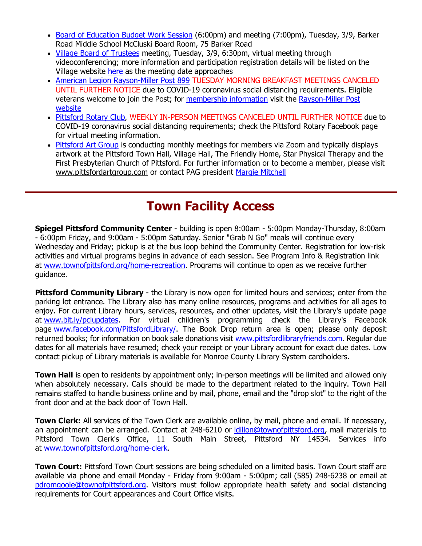- [Board of Education Budget Work Session](http://r20.rs6.net/tn.jsp?f=001II1FNdzkItUrS2OOIj8UEToBaQoxHvJoZJ5AJXL0KWrI7t2-RCjnXMJ0FYDT2MxgHSuBM7O_Ybz8YjUfQ34qLTjxinx3eOvZ3wTWbBFPMiqBMGSMjl6B5feBZX1lFW1GDEbEBmw8UTuHMTSertODc_NjFZDKfFB44KU0TYF_vST6fqv26D_s3QBudlUGaABbgRS5_LY-RrcsY-9qm-Ylw-_s27jRLhqMrKnfU0blIeHFr2UTemt6o4C89fW2JFWLkkH5rznUKSU=&c=44nJltt8DQHtJH5pXG7U5ncI6B3qc9Ed_oXkk-bCtAU2GDdlmzGjwA==&ch=6m_GcSrMg34EWpVSFYgbl-HAIMWNVXqLAUkoScOpJbDgrA_O-jvdkw==) (6:00pm) and meeting (7:00pm), Tuesday, 3/9, Barker Road Middle School McCluski Board Room, 75 Barker Road
- [Village Board of Trustees](http://r20.rs6.net/tn.jsp?f=001II1FNdzkItUrS2OOIj8UEToBaQoxHvJoZJ5AJXL0KWrI7t2-RCjnXMzId8gEKYAcrYT28D7NBSEEbnGTDO7rCgtuR3i-T6uTjjvcLNv-pXVrWQItp1oXojqvE_HiWdFblDd1GMEpmTGVYD_RLdb5yFYf_fGJ1uYc4dngz88m109UPW61v5itMHf04fLrKLkz3Aga2N2hxhjgRoR350E3NmQ_yadkieXpl6j6rHrtaDeJ1zfDUv9TfroZtYnisRTI8_glJCUzZNkknZg_xh81IPKG-JgySzQH&c=44nJltt8DQHtJH5pXG7U5ncI6B3qc9Ed_oXkk-bCtAU2GDdlmzGjwA==&ch=6m_GcSrMg34EWpVSFYgbl-HAIMWNVXqLAUkoScOpJbDgrA_O-jvdkw==) meeting, Tuesday, 3/9, 6:30pm, virtual meeting through videoconferencing; more information and participation registration details will be listed on the Village website [here](http://r20.rs6.net/tn.jsp?f=001II1FNdzkItUrS2OOIj8UEToBaQoxHvJoZJ5AJXL0KWrI7t2-RCjnXMzId8gEKYAcrYT28D7NBSEEbnGTDO7rCgtuR3i-T6uTjjvcLNv-pXVrWQItp1oXojqvE_HiWdFblDd1GMEpmTGVYD_RLdb5yFYf_fGJ1uYc4dngz88m109UPW61v5itMHf04fLrKLkz3Aga2N2hxhjgRoR350E3NmQ_yadkieXpl6j6rHrtaDeJ1zfDUv9TfroZtYnisRTI8_glJCUzZNkknZg_xh81IPKG-JgySzQH&c=44nJltt8DQHtJH5pXG7U5ncI6B3qc9Ed_oXkk-bCtAU2GDdlmzGjwA==&ch=6m_GcSrMg34EWpVSFYgbl-HAIMWNVXqLAUkoScOpJbDgrA_O-jvdkw==) as the meeting date approaches
- [American Legion Rayson-Miller Post 899](http://r20.rs6.net/tn.jsp?f=001II1FNdzkItUrS2OOIj8UEToBaQoxHvJoZJ5AJXL0KWrI7t2-RCjnXF5sdssc0i8RN-J56U-6gnVR2a7FzjE2VAQeC-XyvZXTcJiN1FpbRT5mefiyOtqjUGPRTOK4MlkoUN7PnixydIFEFpb3mLLdSd_9EykAZpzN&c=44nJltt8DQHtJH5pXG7U5ncI6B3qc9Ed_oXkk-bCtAU2GDdlmzGjwA==&ch=6m_GcSrMg34EWpVSFYgbl-HAIMWNVXqLAUkoScOpJbDgrA_O-jvdkw==) TUESDAY MORNING BREAKFAST MEETINGS CANCELED UNTIL FURTHER NOTICE due to COVID-19 coronavirus social distancing requirements. Eligible veterans welcome to join the Post; for [membership information](http://r20.rs6.net/tn.jsp?f=001II1FNdzkItUrS2OOIj8UEToBaQoxHvJoZJ5AJXL0KWrI7t2-RCjnXF5sdssc0i8RAIRmdggVCw7IOj2PKhWolMyzmXS9OdaWo9RNNlcqCwlnOPZO-lnqUjnP5DmGe41Cp1dl-G_Ma9CiJIy97sYdcRlHmt4SxMM2SfjkzvuORvRNhLsKQyYm11CBAzY2YgOB&c=44nJltt8DQHtJH5pXG7U5ncI6B3qc9Ed_oXkk-bCtAU2GDdlmzGjwA==&ch=6m_GcSrMg34EWpVSFYgbl-HAIMWNVXqLAUkoScOpJbDgrA_O-jvdkw==) visit the [Rayson-Miller Post](http://r20.rs6.net/tn.jsp?f=001II1FNdzkItUrS2OOIj8UEToBaQoxHvJoZJ5AJXL0KWrI7t2-RCjnXG_THM5IjNpbtTPpaZSrtrDfq2H2m7iIxwJldCjfBnaf5zv5XzlpL73MAMCk3Z-C42YOkWlHm5BSzuS6V5KgKmq6XFyCcoJoGxgdQl2lDre1tdMIJBQPGxpokVVGJswgSdaN2aPHgC7x6rOHrNTMJ-kGxuzcOQNUbDe4PP4ytDQqqiqyrUN-OW_K1WuyHSkKsAbmPaozpX4z&c=44nJltt8DQHtJH5pXG7U5ncI6B3qc9Ed_oXkk-bCtAU2GDdlmzGjwA==&ch=6m_GcSrMg34EWpVSFYgbl-HAIMWNVXqLAUkoScOpJbDgrA_O-jvdkw==)  [website](http://r20.rs6.net/tn.jsp?f=001II1FNdzkItUrS2OOIj8UEToBaQoxHvJoZJ5AJXL0KWrI7t2-RCjnXG_THM5IjNpbtTPpaZSrtrDfq2H2m7iIxwJldCjfBnaf5zv5XzlpL73MAMCk3Z-C42YOkWlHm5BSzuS6V5KgKmq6XFyCcoJoGxgdQl2lDre1tdMIJBQPGxpokVVGJswgSdaN2aPHgC7x6rOHrNTMJ-kGxuzcOQNUbDe4PP4ytDQqqiqyrUN-OW_K1WuyHSkKsAbmPaozpX4z&c=44nJltt8DQHtJH5pXG7U5ncI6B3qc9Ed_oXkk-bCtAU2GDdlmzGjwA==&ch=6m_GcSrMg34EWpVSFYgbl-HAIMWNVXqLAUkoScOpJbDgrA_O-jvdkw==)
- Pittsford [Rotary Club,](http://r20.rs6.net/tn.jsp?f=001II1FNdzkItUrS2OOIj8UEToBaQoxHvJoZJ5AJXL0KWrI7t2-RCjnXKxoDxGnlgnNZy0KXYVF0aNGelXWgdaVUAKUUyDYdgooQcbI4dZhqESfMLVNmvcUO0jDCn0Gk7vx-LCDkaftJ1Av7LkRVdasPhjzB3GaDnzj&c=44nJltt8DQHtJH5pXG7U5ncI6B3qc9Ed_oXkk-bCtAU2GDdlmzGjwA==&ch=6m_GcSrMg34EWpVSFYgbl-HAIMWNVXqLAUkoScOpJbDgrA_O-jvdkw==) WEEKLY IN-PERSON MEETINGS CANCELED UNTIL FURTHER NOTICE due to COVID-19 coronavirus social distancing requirements; check the Pittsford Rotary Facebook page for virtual meeting information.
- [Pittsford Art Group](http://r20.rs6.net/tn.jsp?f=001II1FNdzkItUrS2OOIj8UEToBaQoxHvJoZJ5AJXL0KWrI7t2-RCjnXFpPBm5ycCLW5cZOCx5F1QJ2z3TUMKrD5o8Fak4H7XmNANcof_rSHp5RHQHRt1eNy9k0M7SaSnsHH3jZaFmWXe07AejynAkCX-WZ6u5uMCtL07IVb1pZ714=&c=44nJltt8DQHtJH5pXG7U5ncI6B3qc9Ed_oXkk-bCtAU2GDdlmzGjwA==&ch=6m_GcSrMg34EWpVSFYgbl-HAIMWNVXqLAUkoScOpJbDgrA_O-jvdkw==) is conducting monthly meetings for members via Zoom and typically displays artwork at the Pittsford Town Hall, Village Hall, The Friendly Home, Star Physical Therapy and the First Presbyterian Church of Pittsford. For further information or to become a member, please visit [www.pittsfordartgroup.com](http://r20.rs6.net/tn.jsp?f=001II1FNdzkItUrS2OOIj8UEToBaQoxHvJoZJ5AJXL0KWrI7t2-RCjnXNqgWDGrB4AdHUuPAS6XI5E6wbto_Ivfq-pz7qh1dtIvvMDE9G4EBBZugg8Fq_mnx-qEhyrhQY4PvtjGaMTLyWb48dvSgbnnrlsgj6bmvd8e&c=44nJltt8DQHtJH5pXG7U5ncI6B3qc9Ed_oXkk-bCtAU2GDdlmzGjwA==&ch=6m_GcSrMg34EWpVSFYgbl-HAIMWNVXqLAUkoScOpJbDgrA_O-jvdkw==) or contact PAG president [Margie Mitchell](mailto:mhsmitchell@gmail.com?subject=Pittsford%20Art%20Group%20Meetings%20and%20Membership)

### **Town Facility Access**

**Spiegel Pittsford Community Center** - building is open 8:00am - 5:00pm Monday-Thursday, 8:00am - 6:00pm Friday, and 9:00am - 5:00pm Saturday. Senior "Grab N Go" meals will continue every Wednesday and Friday; pickup is at the bus loop behind the Community Center. Registration for low-risk activities and virtual programs begins in advance of each session. See Program Info & Registration link at [www.townofpittsford.org/home-recreation.](http://r20.rs6.net/tn.jsp?f=001II1FNdzkItUrS2OOIj8UEToBaQoxHvJoZJ5AJXL0KWrI7t2-RCjnXEBjEgvyQDuezaV90B29R-I2cdSfh9FjkBpRejBEdZh_vE7Wel2W4Ajggn1Sx6kSoejjQ6FxFpr7Iu-0Q_FrQsG0YwYz-1H1Uqxn3L-aIh-f3gWXX5YnSwruK_5cOTMYcQ==&c=44nJltt8DQHtJH5pXG7U5ncI6B3qc9Ed_oXkk-bCtAU2GDdlmzGjwA==&ch=6m_GcSrMg34EWpVSFYgbl-HAIMWNVXqLAUkoScOpJbDgrA_O-jvdkw==) Programs will continue to open as we receive further guidance.

**Pittsford Community Library** - the Library is now open for limited hours and services; enter from the parking lot entrance. The Library also has many online resources, programs and activities for all ages to enjoy. For current Library hours, services, resources, and other updates, visit the Library's update page at [www.bit.ly/pclupdates.](http://r20.rs6.net/tn.jsp?f=001II1FNdzkItUrS2OOIj8UEToBaQoxHvJoZJ5AJXL0KWrI7t2-RCjnXNBh_kfL-98dlBw6BWQhfjQdO9ETbQ78OhRQkNQD9C0Z7T0RamtlzlmtnWOuCUWW6Iz6C9IfJVSVkA8fgmJnYL4b--B9OHOamg==&c=44nJltt8DQHtJH5pXG7U5ncI6B3qc9Ed_oXkk-bCtAU2GDdlmzGjwA==&ch=6m_GcSrMg34EWpVSFYgbl-HAIMWNVXqLAUkoScOpJbDgrA_O-jvdkw==) For virtual children's programming check the Library's Facebook page [www.facebook.com/PittsfordLibrary/.](http://r20.rs6.net/tn.jsp?f=001II1FNdzkItUrS2OOIj8UEToBaQoxHvJoZJ5AJXL0KWrI7t2-RCjnXHZPHWTDyRi4SDOReaDc8kmlfvYIV_OSKCLF7rrP1oPuJyjqeAzjtfADgTO_5voiRQyRcNRGIWiC45YBD0uLbnK3Hy-sWOG_GFm9YEw24v-9T8iTrOPLOLM=&c=44nJltt8DQHtJH5pXG7U5ncI6B3qc9Ed_oXkk-bCtAU2GDdlmzGjwA==&ch=6m_GcSrMg34EWpVSFYgbl-HAIMWNVXqLAUkoScOpJbDgrA_O-jvdkw==) The Book Drop return area is open; please only deposit returned books; for information on book sale donations visit [www.pittsfordlibraryfriends.com.](http://r20.rs6.net/tn.jsp?f=001II1FNdzkItUrS2OOIj8UEToBaQoxHvJoZJ5AJXL0KWrI7t2-RCjnXI36uTDO15Y_LqUVYKskAGFIE2d7viKBBcKBebl8TE4NgkBPQnnHDpxTUPToNpCzkmUihDPdrktUzgHqdrAvi-QawefZIv5bMIwbi9OjLjTefE03s99tiw4=&c=44nJltt8DQHtJH5pXG7U5ncI6B3qc9Ed_oXkk-bCtAU2GDdlmzGjwA==&ch=6m_GcSrMg34EWpVSFYgbl-HAIMWNVXqLAUkoScOpJbDgrA_O-jvdkw==) Regular due dates for all materials have resumed; check your receipt or your Library account for exact due dates. Low contact pickup of Library materials is available for Monroe County Library System cardholders.

**Town Hall** is open to residents by appointment only; in-person meetings will be limited and allowed only when absolutely necessary. Calls should be made to the department related to the inquiry. Town Hall remains staffed to handle business online and by mail, phone, email and the "drop slot" to the right of the front door and at the back door of Town Hall.

**Town Clerk:** All services of the Town Clerk are available online, by mail, phone and email. If necessary, an appointment can be arranged. Contact at 248-6210 or Idillon@townofpittsford.org, mail materials to Pittsford Town Clerk's Office, 11 South Main Street, Pittsford NY 14534. Services info at [www.townofpittsford.org/home-clerk.](http://r20.rs6.net/tn.jsp?f=001II1FNdzkItUrS2OOIj8UEToBaQoxHvJoZJ5AJXL0KWrI7t2-RCjnXP9gX2MdB0xGcIiduCR9oNjoE7IoJQQDCt6u6AfIRVSah5zv2kkhd1NqLSrs7Ek30KIjyInrYCl2Q4sLJaO7TG9Ho9gzLCZoemCQrefCAjamFZbPlBvzHXk=&c=44nJltt8DQHtJH5pXG7U5ncI6B3qc9Ed_oXkk-bCtAU2GDdlmzGjwA==&ch=6m_GcSrMg34EWpVSFYgbl-HAIMWNVXqLAUkoScOpJbDgrA_O-jvdkw==)

**Town Court:** Pittsford Town Court sessions are being scheduled on a limited basis. Town Court staff are available via phone and email Monday - Friday from 9:00am - 5:00pm; call (585) 248-6238 or email at [pdromgoole@townofpittsford.org.](mailto:pdromgoole@townofpittsford.org) Visitors must follow appropriate health safety and social distancing requirements for Court appearances and Court Office visits.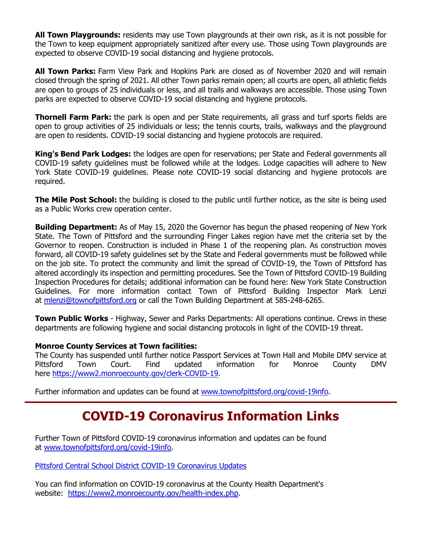**All Town Playgrounds:** residents may use Town playgrounds at their own risk, as it is not possible for the Town to keep equipment appropriately sanitized after every use. Those using Town playgrounds are expected to observe COVID-19 social distancing and hygiene protocols.

**All Town Parks:** Farm View Park and Hopkins Park are closed as of November 2020 and will remain closed through the spring of 2021. All other Town parks remain open; all courts are open, all athletic fields are open to groups of 25 individuals or less, and all trails and walkways are accessible. Those using Town parks are expected to observe COVID-19 social distancing and hygiene protocols.

**Thornell Farm Park:** the park is open and per State requirements, all grass and turf sports fields are open to group activities of 25 individuals or less; the tennis courts, trails, walkways and the playground are open to residents. COVID-19 social distancing and hygiene protocols are required.

**King's Bend Park Lodges:** the lodges are open for reservations; per State and Federal governments all COVID-19 safety guidelines must be followed while at the lodges. Lodge capacities will adhere to New York State COVID-19 guidelines. Please note COVID-19 social distancing and hygiene protocols are required.

**The Mile Post School:** the building is closed to the public until further notice, as the site is being used as a Public Works crew operation center.

**Building Department:** As of May 15, 2020 the Governor has begun the phased reopening of New York State. The Town of Pittsford and the surrounding Finger Lakes region have met the criteria set by the Governor to reopen. Construction is included in Phase 1 of the reopening plan. As construction moves forward, all COVID-19 safety guidelines set by the State and Federal governments must be followed while on the job site. To protect the community and limit the spread of COVID-19, the Town of Pittsford has altered accordingly its inspection and permitting procedures. See the Town of Pittsford COVID-19 Building Inspection Procedures for details; additional information can be found here: New York State Construction Guidelines. For more information contact Town of Pittsford Building Inspector Mark Lenzi at [mlenzi@townofpittsford.org](mailto:mlenzi@townofpittsford.org?subject=COVID-19%20Construciton%20Information) or call the Town Building Department at 585-248-6265.

**Town Public Works** - Highway, Sewer and Parks Departments: All operations continue. Crews in these departments are following hygiene and social distancing protocols in light of the COVID-19 threat.

#### **Monroe County Services at Town facilities:**

The County has suspended until further notice Passport Services at Town Hall and Mobile DMV service at Pittsford Town Court. Find updated information for Monroe County DMV here [https://www2.monroecounty.gov/clerk-COVID-19.](http://r20.rs6.net/tn.jsp?f=001II1FNdzkItUrS2OOIj8UEToBaQoxHvJoZJ5AJXL0KWrI7t2-RCjnXKqvyfxYlexsplOlhSQXmKCshfCk1aW-TB4dqhL-5wr-HTQAox5vBSUqkE2JSAyrCj9f4cHObXHD44X130g_zn2MSG4wvcAfvooKDas90bUqp-JJMGgXR4E=&c=44nJltt8DQHtJH5pXG7U5ncI6B3qc9Ed_oXkk-bCtAU2GDdlmzGjwA==&ch=6m_GcSrMg34EWpVSFYgbl-HAIMWNVXqLAUkoScOpJbDgrA_O-jvdkw==)

Further information and updates can be found at [www.townofpittsford.org/covid-19info.](http://r20.rs6.net/tn.jsp?f=001II1FNdzkItUrS2OOIj8UEToBaQoxHvJoZJ5AJXL0KWrI7t2-RCjnXJdNHbIB7k8UEOFY-9yFZsaIfft3kMo9yvbh0qW05YfWO4dDG183Mt2Fwl5up1GT-XBw3szMehDkROTaLt4M5Xu7-I29jLBDgEnpXuWYsQSb-nNcc7CORfI=&c=44nJltt8DQHtJH5pXG7U5ncI6B3qc9Ed_oXkk-bCtAU2GDdlmzGjwA==&ch=6m_GcSrMg34EWpVSFYgbl-HAIMWNVXqLAUkoScOpJbDgrA_O-jvdkw==)

### **COVID-19 Coronavirus Information Links**

Further Town of Pittsford COVID-19 coronavirus information and updates can be found at [www.townofpittsford.org/covid-19info.](http://r20.rs6.net/tn.jsp?f=001II1FNdzkItUrS2OOIj8UEToBaQoxHvJoZJ5AJXL0KWrI7t2-RCjnXJdNHbIB7k8UEOFY-9yFZsaIfft3kMo9yvbh0qW05YfWO4dDG183Mt2Fwl5up1GT-XBw3szMehDkROTaLt4M5Xu7-I29jLBDgEnpXuWYsQSb-nNcc7CORfI=&c=44nJltt8DQHtJH5pXG7U5ncI6B3qc9Ed_oXkk-bCtAU2GDdlmzGjwA==&ch=6m_GcSrMg34EWpVSFYgbl-HAIMWNVXqLAUkoScOpJbDgrA_O-jvdkw==)

[Pittsford Central School District COVID-19 Coronavirus Updates](http://r20.rs6.net/tn.jsp?f=001II1FNdzkItUrS2OOIj8UEToBaQoxHvJoZJ5AJXL0KWrI7t2-RCjnXHZPHWTDyRi4R7XcxJ6b-TAw_pnWvGI-HSNedzM0-FRvc6Tnsto8Q03IsS8Rxz4SxQbHuDS0woF_cJiFoKjSkJgVgWgxBCjwLkS1zW5gR3SUH60MHycz3qp2aQDAWGL9Zg==&c=44nJltt8DQHtJH5pXG7U5ncI6B3qc9Ed_oXkk-bCtAU2GDdlmzGjwA==&ch=6m_GcSrMg34EWpVSFYgbl-HAIMWNVXqLAUkoScOpJbDgrA_O-jvdkw==)

You can find information on COVID-19 coronavirus at the County Health Department's website: [https://www2.monroecounty.gov/health-index.php.](http://r20.rs6.net/tn.jsp?f=001II1FNdzkItUrS2OOIj8UEToBaQoxHvJoZJ5AJXL0KWrI7t2-RCjnXMlNpmXVytsjzniyUX1rcB99ZEyjZxGGSFVnvTQd0YJ6vNPwG-V-dh6LN322K-RaZSlMuH9NHu59Uzr9XbCoCAIai4hwHzy5_gvzIZrc8HSuDFOr8KsPtbMmZ90cQ_vW8w==&c=44nJltt8DQHtJH5pXG7U5ncI6B3qc9Ed_oXkk-bCtAU2GDdlmzGjwA==&ch=6m_GcSrMg34EWpVSFYgbl-HAIMWNVXqLAUkoScOpJbDgrA_O-jvdkw==)